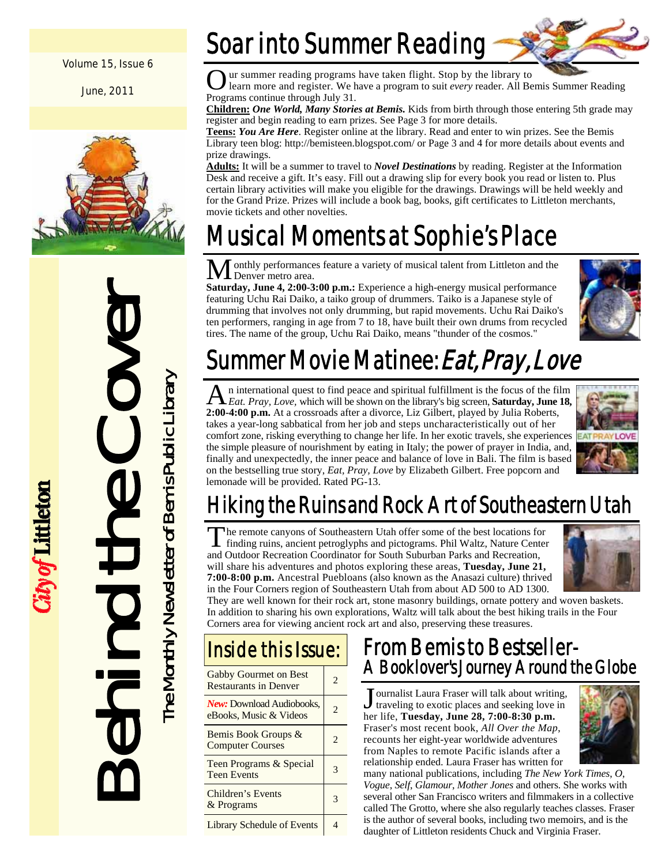#### Volume 15, Issue 6

June, 2011



Behind the Cover The Monthly Newsletter of Bemis Public Library

ty of Littleton

The Monthly Newsletter of Bemis Public Library

### Soar into Summer Reading



O ur summer reading programs have taken flight. Stop by the library to learn more and register. We have a program to suit *every* reader. All Bemis Summer Reading Programs continue through July 31.

**Children:** *One World, Many Stories at Bemis.* Kids from birth through those entering 5th grade may register and begin reading to earn prizes. See Page 3 for more details.

**Teens:** *You Are Here*. Register online at the library. Read and enter to win prizes. See the Bemis Library teen blog: http://bemisteen.blogspot.com/ or Page 3 and 4 for more details about events and prize drawings.

**Adults:** It will be a summer to travel to *Novel Destinations* by reading. Register at the Information Desk and receive a gift. It's easy. Fill out a drawing slip for every book you read or listen to. Plus certain library activities will make you eligible for the drawings. Drawings will be held weekly and for the Grand Prize. Prizes will include a book bag, books, gift certificates to Littleton merchants, movie tickets and other novelties.

## Musical Moments at Sophie's Place

onthly performances feature a variety of musical talent from Littleton and the M Denver metro area.

**Saturday, June 4, 2:00-3:00 p.m.:** Experience a high-energy musical performance featuring Uchu Rai Daiko, a taiko group of drummers. Taiko is a Japanese style of drumming that involves not only drumming, but rapid movements. Uchu Rai Daiko's ten performers, ranging in age from 7 to 18, have built their own drums from recycled tires. The name of the group, Uchu Rai Daiko, means "thunder of the cosmos."



## Summer Movie Matinee: *Eat, Pray, Love*

A n international quest to find peace and spiritual fulfillment is the focus of the film *Eat. Pray, Love,* which will be shown on the library's big screen, **Saturday, June 18, 2:00-4:00 p.m.** At a crossroads after a divorce, Liz Gilbert, played by Julia Roberts, takes a year-long sabbatical from her job and steps uncharacteristically out of her comfort zone, risking everything to change her life. In her exotic travels, she experiences the simple pleasure of nourishment by eating in Italy; the power of prayer in India, and, finally and unexpectedly, the inner peace and balance of love in Bali. The film is based on the bestselling true story, *Eat, Pray, Love* by Elizabeth Gilbert. Free popcorn and lemonade will be provided. Rated PG-13.



### Hiking the Ruins and Rock Art of Southeastern Utah

The remote canyons of Southeastern Utah offer some of the best locations for finding ruins, ancient petroglyphs and pictograms. Phil Waltz, Nature Center and Outdoor Recreation Coordinator for South Suburban Parks and Recreation, will share his adventures and photos exploring these areas, **Tuesday, June 21, 7:00-8:00 p.m.** Ancestral Puebloans (also known as the Anasazi culture) thrived in the Four Corners region of Southeastern Utah from about AD 500 to AD 1300.



They are well known for their rock art, stone masonry buildings, ornate pottery and woven baskets. In addition to sharing his own explorations, Waltz will talk about the best hiking trails in the Four Corners area for viewing ancient rock art and also, preserving these treasures.

### Gabby Gourmet on Best Gabby Gourmet on Best  $\begin{array}{|c|c|} \hline 2 & 2 \end{array}$ *New:* Download Audiobooks, *New:* Download Audiobooks, 2<br>eBooks, Music & Videos Bemis Book Groups & Bemis Book Groups  $\alpha$  2<br>Computer Courses Teen Programs & Special Teen Programs & Special 3 Children's Events Linux Street Street Street Street Street Street Street Street Street Street Street Street Street Street Street<br>
3 Inside this Issue:

Library Schedule of Events 4

### From Bemis to Bestseller-A Booklover's Journey Around the Globe

Journalist Laura Fraser will talk about writing,<br>traveling to exotic places and seeking love in her life, **Tuesday, June 28, 7:00-8:30 p.m.**  Fraser's most recent book, *All Over the Map*, recounts her eight-year worldwide adventures from Naples to remote Pacific islands after a relationship ended. Laura Fraser has written for



many national publications, including *The New York Times*, *O*, *Vogue*, *Self*, *Glamour*, *Mother Jones* and others. She works with several other San Francisco writers and filmmakers in a collective called The Grotto, where she also regularly teaches classes. Fraser is the author of several books, including two memoirs, and is the daughter of Littleton residents Chuck and Virginia Fraser.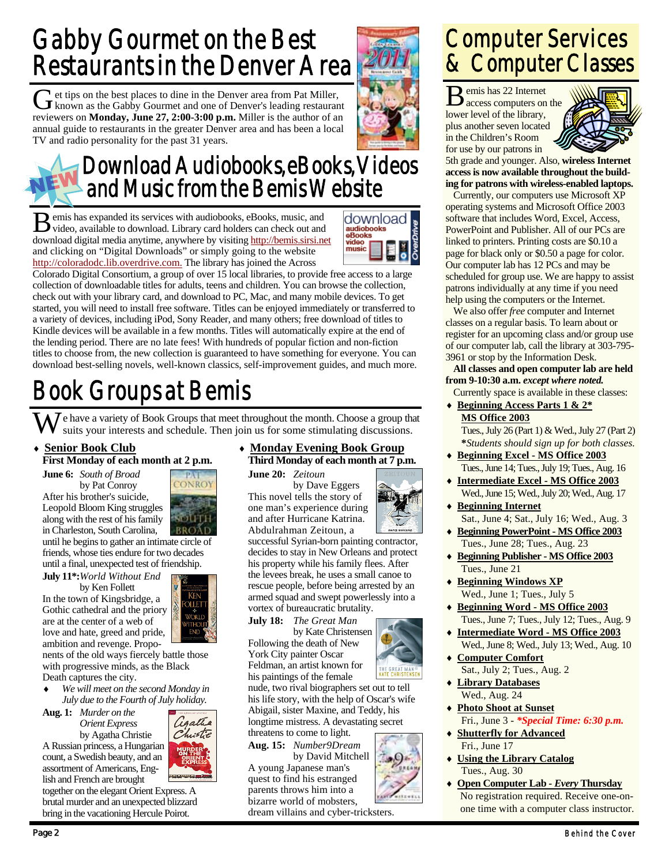### Gabby Gourmet on the Best Restaurants in the Denver Area

Get tips on the best places to dine in the Denver area from Pat Miller, known as the Gabby Gournet and one of Denver's leading restaurant reviewers on **Monday, June 27, 2:00-3:00 p.m.** Miller is the author of an annual guide to restaurants in the greater Denver area and has been a local TV and radio personality for the past 31 years.



### Download Audiobooks, eBooks, Videos and Music from the Bemis Website

B emis has expanded its services with audiobooks, eBooks, music, and video, available to download. Library card holders can check out and download digital media anytime, anywhere by visiting http://bemis.sirsi.net and clicking on "Digital Downloads" or simply going to the website http://coloradodc.lib.overdrive.com. The library has joined the Across



Colorado Digital Consortium, a group of over 15 local libraries, to provide free access to a large collection of downloadable titles for adults, teens and children. You can browse the collection, check out with your library card, and download to PC, Mac, and many mobile devices. To get started, you will need to install free software. Titles can be enjoyed immediately or transferred to a variety of devices, including iPod, Sony Reader, and many others; free download of titles to Kindle devices will be available in a few months. Titles will automatically expire at the end of the lending period. There are no late fees! With hundreds of popular fiction and non-fiction titles to choose from, the new collection is guaranteed to have something for everyone. You can download best-selling novels, well-known classics, self-improvement guides, and much more.

## Book Groups at Bemis

W e have a variety of Book Groups that meet throughout the month. Choose a group that suits your interests and schedule. Then join us for some stimulating discussions.

#### **Senior Book Club**

#### **First Monday of each month at 2 p.m.**

**June 6:** *South of Broad*  by Pat Conroy

After his brother's suicide, Leopold Bloom King struggles along with the rest of his family in Charleston, South Carolina,

until he begins to gather an intimate circle of friends, whose ties endure for two decades until a final, unexpected test of friendship.

**July 11\*:***World Without End*  by Ken Follett

In the town of Kingsbridge, a Gothic cathedral and the priory are at the center of a web of love and hate, greed and pride, ambition and revenge. Propo-

nents of the old ways fiercely battle those with progressive minds, as the Black Death captures the city.

 *We will meet on the second Monday in July due to the Fourth of July holiday.* 

**Aug. 1:** *Murder on the Orient Express* by Agatha Christie A Russian princess, a Hungarian

assortment of Americans, English and French are brought



together on the elegant Orient Express. A brutal murder and an unexpected blizzard bring in the vacationing Hercule Poirot.

### **Monday Evening Book Group Third Monday of each month at 7 p.m.**

**June 20:** *Zeitoun*  by Dave Eggers This novel tells the story of one man's experience during and after Hurricane Katrina. Abdulrahman Zeitoun, a

successful Syrian-born painting contractor, decides to stay in New Orleans and protect his property while his family flees. After the levees break, he uses a small canoe to rescue people, before being arrested by an armed squad and swept powerlessly into a vortex of bureaucratic brutality.

**July 18:** *The Great Man* 

by Kate Christensen Following the death of New York City painter Oscar Feldman, an artist known for



**Aug. 15:** *Number9Dream*  by David Mitchell

A young Japanese man's quest to find his estranged parents throws him into a bizarre world of mobsters, dream villains and cyber-tricksters. Computer Services & Computer Classes

 $\mathbf{B}$  emis has 22 Internet<br>access computers on the lower level of the library, plus another seven located in the Children's Room for use by our patrons in



5th grade and younger. Also, **wireless Internet access is now available throughout the building for patrons with wireless-enabled laptops.**

 Currently, our computers use Microsoft XP operating systems and Microsoft Office 2003 software that includes Word, Excel, Access, PowerPoint and Publisher. All of our PCs are linked to printers. Printing costs are \$0.10 a page for black only or \$0.50 a page for color. Our computer lab has 12 PCs and may be scheduled for group use. We are happy to assist patrons individually at any time if you need help using the computers or the Internet.

 We also offer *free* computer and Internet classes on a regular basis. To learn about or register for an upcoming class and/or group use of our computer lab, call the library at 303-795- 3961 or stop by the Information Desk.

**All classes and open computer lab are held from 9-10:30 a.m.** *except where noted.* Currently space is available in these classes:

 **Beginning Access Parts 1 & 2\* MS Office 2003**

 Tues., July 26 (Part 1) & Wed., July 27 (Part 2)  **\****Students should sign up for both classes.* 

- **Beginning Excel MS Office 2003** Tues., June 14; Tues., July 19; Tues., Aug. 16
- **Intermediate Excel MS Office 2003** Wed., June 15; Wed., July 20; Wed., Aug. 17
- **Beginning Internet** Sat., June 4; Sat., July 16; Wed., Aug. 3
- **Beginning PowerPoint MS Office 2003** Tues., June 28; Tues., Aug. 23
- **Beginning Publisher MS Office 2003** Tues., June 21
- **Beginning Windows XP** Wed., June 1; Tues., July 5
- **Beginning Word MS Office 2003** Tues., June 7; Tues., July 12; Tues., Aug. 9
- **Intermediate Word MS Office 2003** Wed., June 8; Wed., July 13; Wed., Aug. 10
- **Computer Comfort** Sat., July 2; Tues., Aug. 2
- **Library Databases** Wed., Aug. 24
- **Photo Shoot at Sunset** Fri., June 3 - *\*Special Time: 6:30 p.m.*
- **Shutterfly for Advanced** Fri., June 17
- **Using the Library Catalog** Tues., Aug. 30
- **Open Computer Lab** *Every* **Thursday** No registration required. Receive one-onone time with a computer class instructor.



 $OIIFT$ 

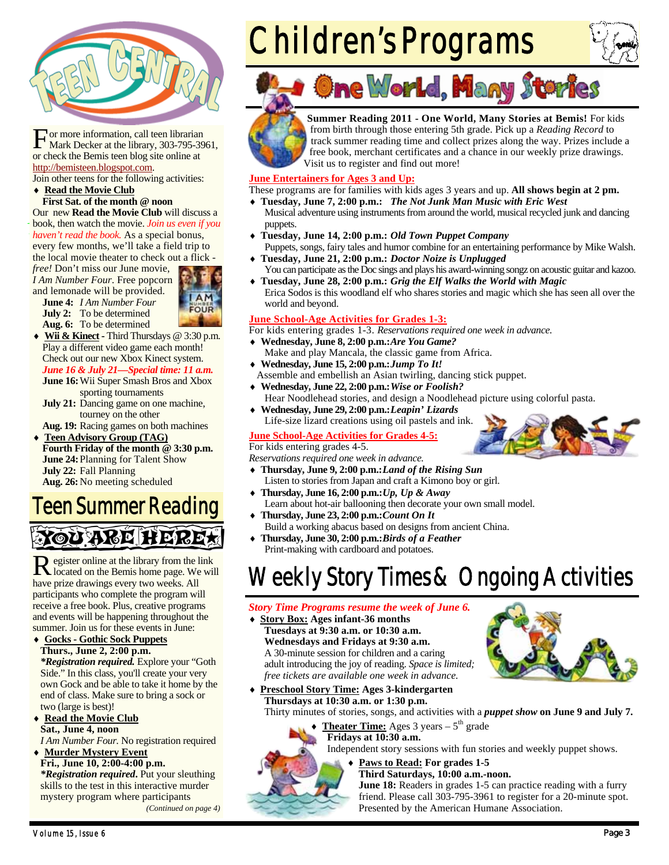

For more information, call teen librarian<br>Mark Decker at the library, 303-795-3961, or check the Bemis teen blog site online at http://bemisteen.blogspot.com.

Join other teens for the following activities:

#### ◆ Read the Movie Club **First Sat. of the month @ noon**

Our new **Read the Movie Club** will discuss a book, then watch the movie. *Join us even if you haven't read the book.* As a special bonus, every few months, we'll take a field trip to the local movie theater to check out a flick -

*free!* Don't miss our June movie, *I Am Number Four*. Free popcorn and lemonade will be provided.

**June 4:** *I Am Number Four* **July 2:** To be determined **Aug. 6:** To be determined



- **Wii & Kinect** Third Thursdays @ 3:30 p.m. Play a different video game each month! Check out our new Xbox Kinect system. *June 16 & July 21—Special time: 11 a.m.* 
	- **June 16:** Wii Super Smash Bros and Xbox sporting tournaments
	- **July 21:** Dancing game on one machine, tourney on the other

**Aug. 19:** Racing games on both machines

 **Teen Advisory Group (TAG) Fourth Friday of the month @ 3:30 p.m. June 24: Planning for Talent Show July 22:** Fall Planning **Aug. 26:** No meeting scheduled

### Teen Summer Reading Nou ange Heret

R egister online at the library from the link located on the Bemis home page. We will have prize drawings every two weeks. All participants who complete the program will receive a free book. Plus, creative programs and events will be happening throughout the summer. Join us for these events in June:

 **Gocks - Gothic Sock Puppets Thurs., June 2, 2:00 p.m.** 

*\*Registration required.* Explore your "Goth Side." In this class, you'll create your very own Gock and be able to take it home by the end of class. Make sure to bring a sock or two (large is best)!

◆ Read the Movie Club **Sat., June 4, noon** 

*I Am Number Four.* No registration required **Murder Mystery Event**

**Fri., June 10, 2:00-4:00 p.m.**  *\*Registration required***.** Put your sleuthing skills to the test in this interactive murder mystery program where participants *(Continued on page 4)* 

# Children's Programs







**Summer Reading 2011 - One World, Many Stories at Bemis!** For kids from birth through those entering 5th grade. Pick up a *Reading Record* to track summer reading time and collect prizes along the way. Prizes include a free book, merchant certificates and a chance in our weekly prize drawings. Visit us to register and find out more!

#### **June Entertainers for Ages 3 and Up:**

These programs are for families with kids ages 3 years and up. **All shows begin at 2 pm.** 

- **Tuesday, June 7, 2:00 p.m.:** *The Not Junk Man Music with Eric West* Musical adventure using instruments from around the world, musical recycled junk and dancing puppets.
- **Tuesday, June 14, 2:00 p.m.:** *Old Town Puppet Company* Puppets, songs, fairy tales and humor combine for an entertaining performance by Mike Walsh.
- **Tuesday, June 21, 2:00 p.m.:** *Doctor Noize is Unplugged* You can participate as the Doc sings and plays his award-winning songz on acoustic guitar and kazoo.
- **Tuesday, June 28, 2:00 p.m.:** *Grig the Elf Walks the World with Magic* Erica Sodos is this woodland elf who shares stories and magic which she has seen all over the world and beyond.

#### **June School-Age Activities for Grades 1-3:**

For kids entering grades 1-3. *Reservations required one week in advance.* 

- **Wednesday, June 8, 2:00 p.m.:** *Are You Game?* Make and play Mancala, the classic game from Africa.
- **Wednesday, June 15, 2:00 p.m.:** *Jump To It!* Assemble and embellish an Asian twirling, dancing stick puppet.
- **Wednesday, June 22, 2:00 p.m.:** *Wise or Foolish?* Hear Noodlehead stories, and design a Noodlehead picture using colorful pasta.
- **Wednesday, June 29, 2:00 p.m.:** *Leapin' Lizards* Life-size lizard creations using oil pastels and ink.

#### **June School-Age Activities for Grades 4-5:**

#### For kids entering grades 4-5.

*Reservations required one week in advance.* 

- **Thursday, June 9, 2:00 p.m.:** *Land of the Rising Sun* Listen to stories from Japan and craft a Kimono boy or girl.
- **Thursday, June 16, 2:00 p.m.:** *Up, Up & Away* Learn about hot-air ballooning then decorate your own small model.
- **Thursday, June 23, 2:00 p.m.:** *Count On It* Build a working abacus based on designs from ancient China.
- **Thursday, June 30, 2:00 p.m.:** *Birds of a Feather* Print-making with cardboard and potatoes.

### Weekly Story Times & Ongoing Activities

#### *Story Time Programs resume the week of June 6.*

 **Story Box: Ages infant-36 months Tuesdays at 9:30 a.m. or 10:30 a.m. Wednesdays and Fridays at 9:30 a.m.**  A 30-minute session for children and a caring adult introducing the joy of reading. *Space is limited; free tickets are available one week in advance.* 



- **Preschool Story Time: Ages 3-kindergarten Thursdays at 10:30 a.m. or 1:30 p.m.**  Thirty minutes of stories, songs, and activities with a *puppet show* **on June 9 and July 7.**
	- ◆ Theater Time: Ages 3 years 5<sup>th</sup> grade

#### **Fridays at 10:30 a.m.**

Independent story sessions with fun stories and weekly puppet shows.

 **Paws to Read: For grades 1-5 Third Saturdays, 10:00 a.m.-noon.** 

**June 18:** Readers in grades 1-5 can practice reading with a furry friend. Please call 303-795-3961 to register for a 20-minute spot. Presented by the American Humane Association.